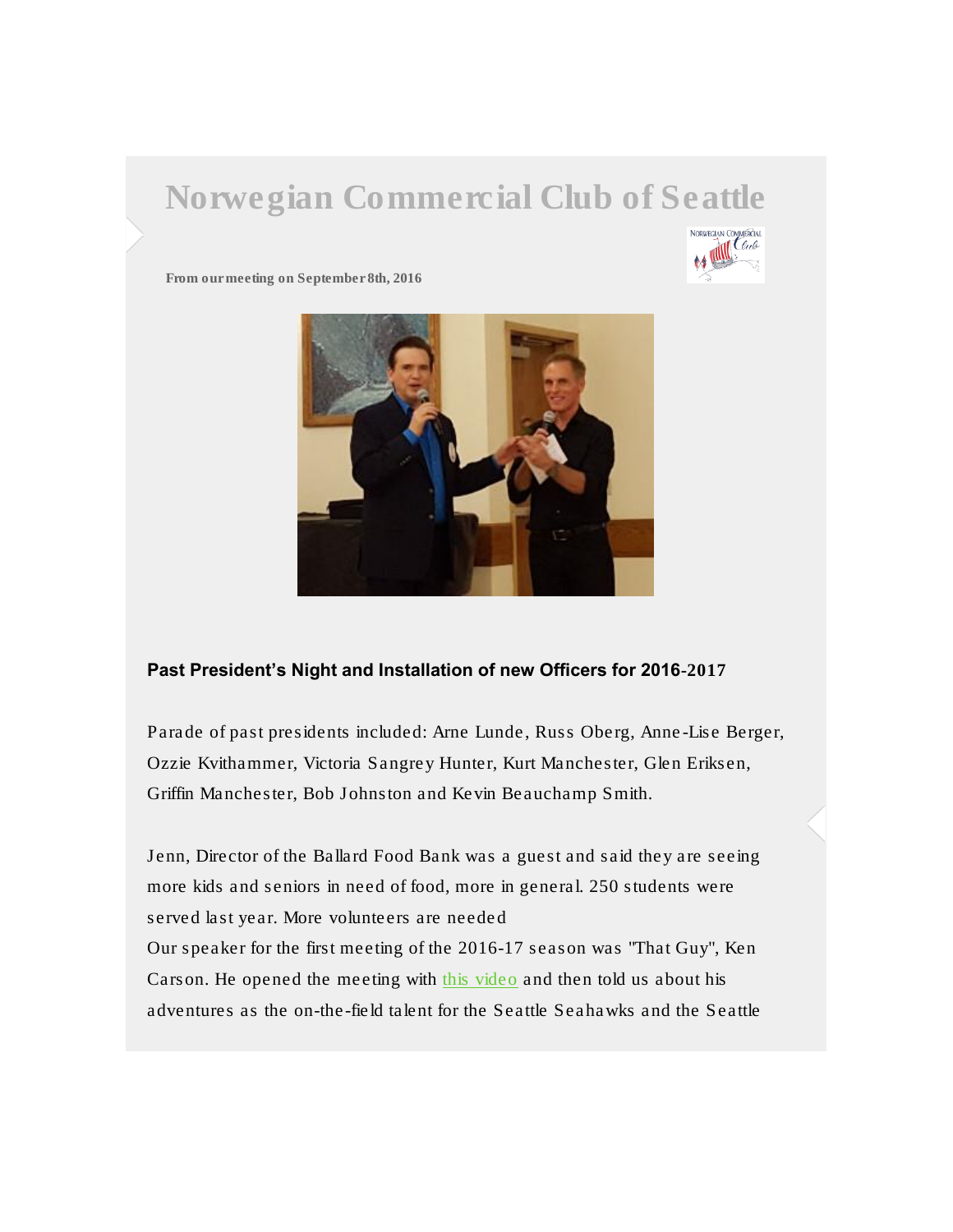# Norwegian Commercial Club of Seattle



From our meeting on September 8th, 2016



#### Past President's Night and Installation of new Officers for 2016-2017

Parade of past presidents included: Arne Lunde, Russ Oberg, Anne-Lise Berger, Ozzie Kvithammer, Victoria Sangrey Hunter, Kurt Manchester, Glen Eriksen, Griffin Manchester, Bob Johnston and Kevin Beauchamp Smith.

Jenn, Director of the Ballard Food Bank was a guest and said they are seeing more kids and seniors in need of food, more in general. 250 students were served last year. More volunteers are needed Our speaker for the first meeting of the 2016-17 season was "That Guy", Ken Carson. He opened the meeting with [this video](https://www.youtube.com/watch?v=sqOlpB8_eMw) and then told us about his adventures as the on-the-field talent for the Seattle Seahawks and the Seattle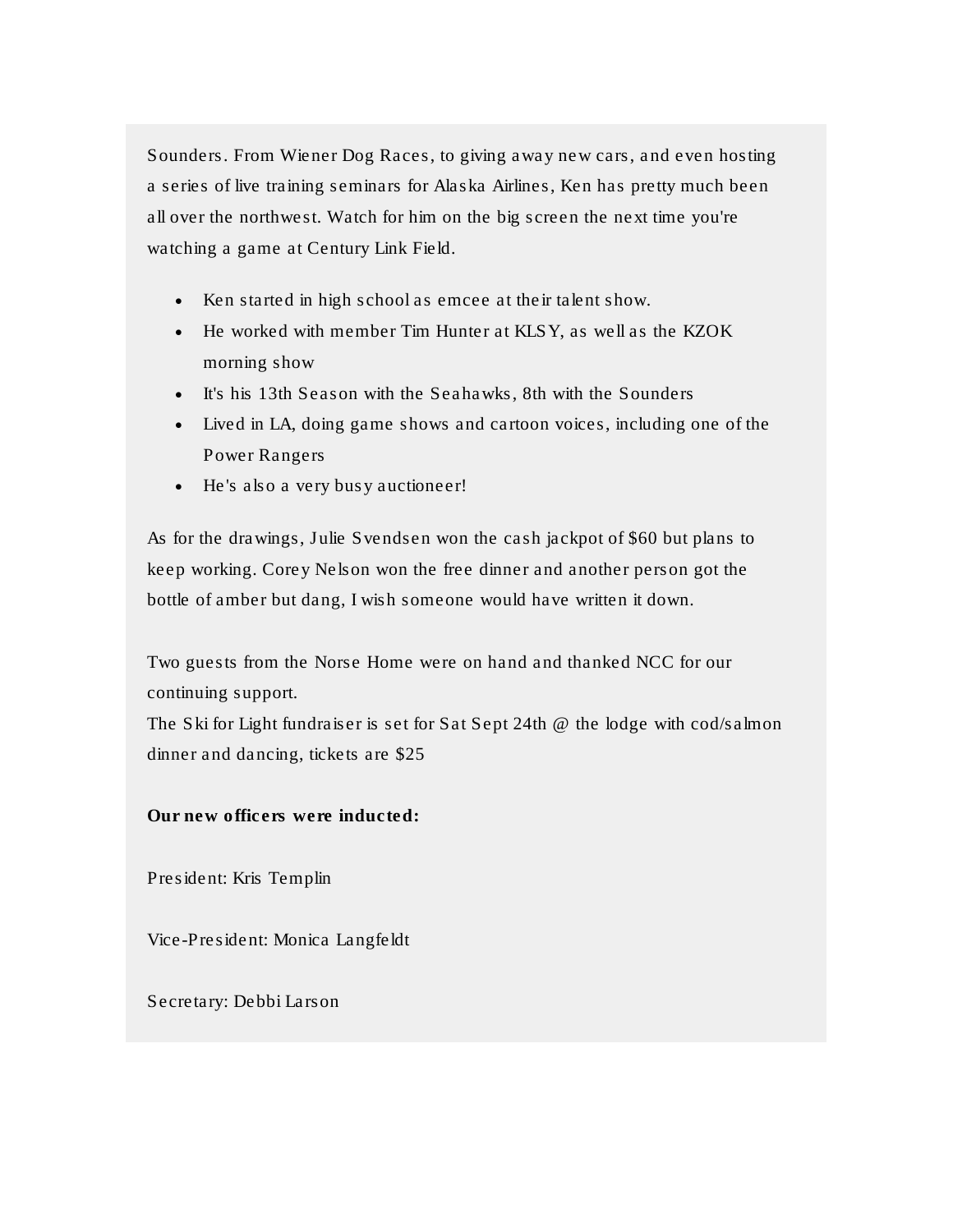Sounders. From Wiener Dog Races, to giving away new cars, and even hosting a series of live training seminars for Alaska Airlines, Ken has pretty much been all over the northwest. Watch for him on the big screen the next time you're watching a game at Century Link Field.

- Ken started in high school as emcee at their talent show.
- He worked with member Tim Hunter at KLSY, as well as the KZOK morning show
- It's his 13th Season with the Seahawks, 8th with the Sounders
- Lived in LA, doing game shows and cartoon voices, including one of the Power Rangers
- He's also a very busy auctioneer!

As for the drawings, Julie Svendsen won the cash jackpot of \$60 but plans to keep working. Corey Nelson won the free dinner and another person got the bottle of amber but dang, I wish someone would have written it down.

Two guests from the Norse Home were on hand and thanked NCC for our continuing support.

The Ski for Light fundraiser is set for Sat Sept 24th @ the lodge with cod/salmon dinner and dancing, tickets are \$25

Our new officers were inducted:

President: Kris Templin

Vice-President: Monica Langfeldt

Secretary: Debbi Larson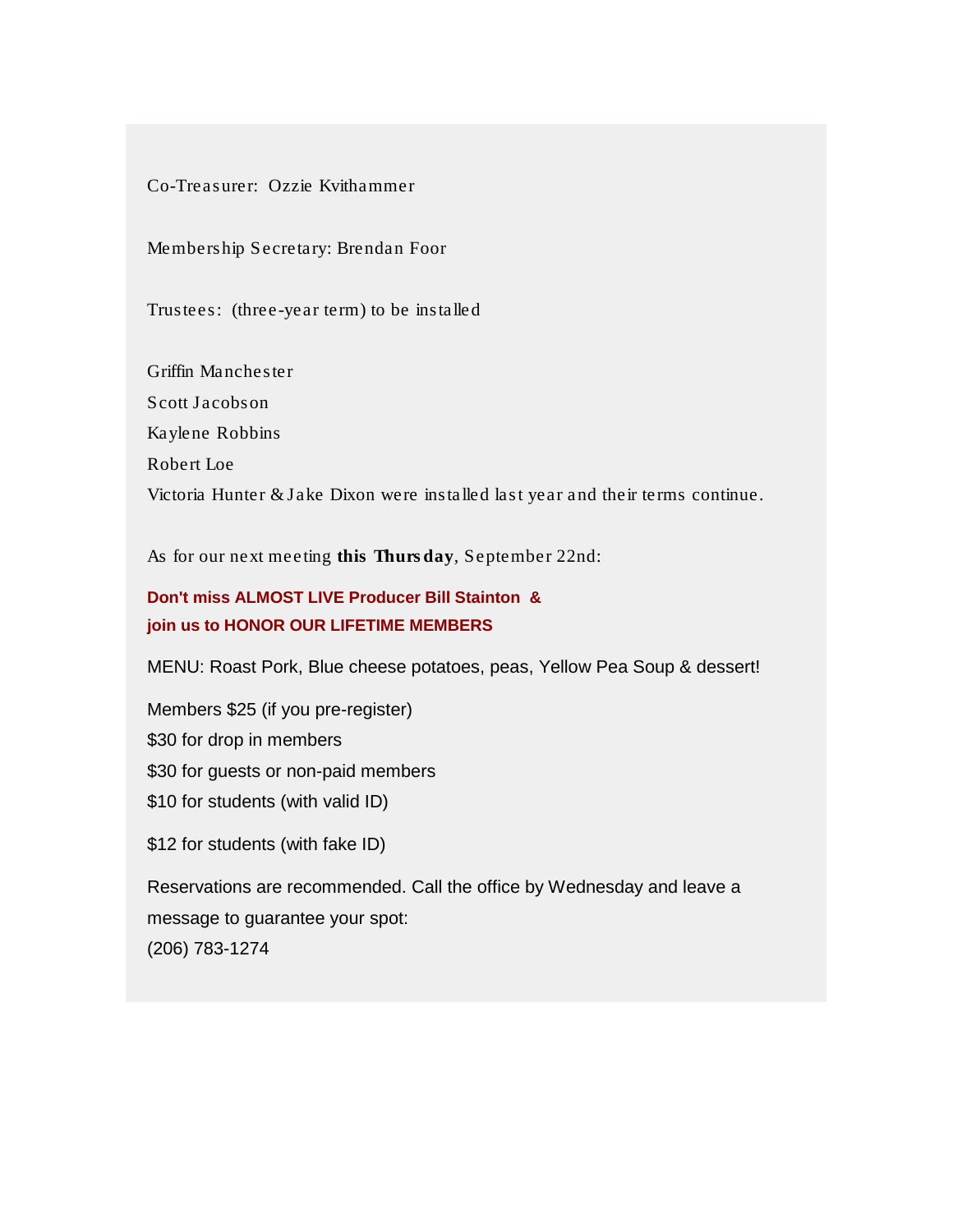#### Co-Treasurer: Ozzie Kvithammer

### Membership Secretary: Brendan Foor

Trustees: (three-year term) to be installed

Griffin Manchester Scott Jacobson Kaylene Robbins Robert Loe Victoria Hunter & Jake Dixon were installed last year and their terms continue.

As for our next meeting this Thursday, September 22nd:

## **Don't miss ALMOST LIVE Producer Bill Stainton & join us to HONOR OUR LIFETIME MEMBERS**

MENU: Roast Pork, Blue cheese potatoes, peas, Yellow Pea Soup & dessert!

Members \$25 (if you pre-register) \$30 for drop in members \$30 for guests or non-paid members \$10 for students (with valid ID)

\$12 for students (with fake ID)

Reservations are recommended. Call the office by Wednesday and leave a message to guarantee your spot: (206) 783-1274